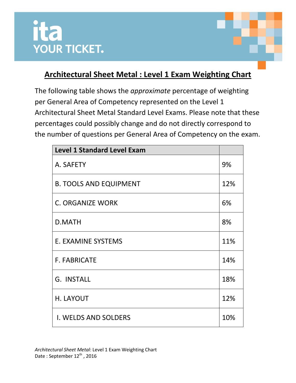

## **Architectural Sheet Metal : Level 1 Exam Weighting Chart**

The following table shows the *approximate* percentage of weighting per General Area of Competency represented on the Level 1 Architectural Sheet Metal Standard Level Exams. Please note that these percentages could possibly change and do not directly correspond to the number of questions per General Area of Competency on the exam.

| <b>Level 1 Standard Level Exam</b> |     |
|------------------------------------|-----|
| A. SAFETY                          | 9%  |
| <b>B. TOOLS AND EQUIPMENT</b>      | 12% |
| <b>C. ORGANIZE WORK</b>            | 6%  |
| <b>D.MATH</b>                      | 8%  |
| E. EXAMINE SYSTEMS                 | 11% |
| <b>F. FABRICATE</b>                | 14% |
| G. INSTALL                         | 18% |
| H. LAYOUT                          | 12% |
| <b>I. WELDS AND SOLDERS</b>        | 10% |